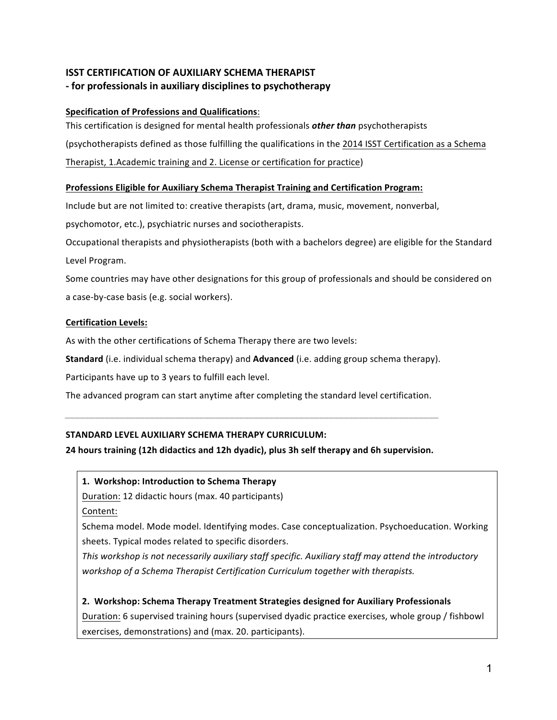# **ISST CERTIFICATION OF AUXILIARY SCHEMA THERAPIST -** for professionals in auxiliary disciplines to psychotherapy

## **Specification of Professions and Qualifications:**

This certification is designed for mental health professionals *other than* psychotherapists (psychotherapists defined as those fulfilling the qualifications in the 2014 ISST Certification as a Schema Therapist, 1.Academic training and 2. License or certification for practice)

## **Professions Eligible for Auxiliary Schema Therapist Training and Certification Program:**

Include but are not limited to: creative therapists (art, drama, music, movement, nonverbal,

psychomotor, etc.), psychiatric nurses and sociotherapists.

Occupational therapists and physiotherapists (both with a bachelors degree) are eligible for the Standard Level Program.

Some countries may have other designations for this group of professionals and should be considered on a case-by-case basis (e.g. social workers).

## **Certification Levels:**

As with the other certifications of Schema Therapy there are two levels:

**Standard** (i.e. individual schema therapy) and **Advanced** (i.e. adding group schema therapy).

Participants have up to 3 years to fulfill each level.

The advanced program can start anytime after completing the standard level certification.

*\_\_\_\_\_\_\_\_\_\_\_\_\_\_\_\_\_\_\_\_\_\_\_\_\_\_\_\_\_\_\_\_\_\_\_\_\_\_\_\_\_\_\_\_\_\_\_\_\_\_\_\_\_\_\_\_\_\_\_\_\_\_\_\_\_\_\_\_\_\_\_\_\_\_\_*

## STANDARD LEVEL AUXILIARY SCHEMA THERAPY CURRICULUM:

**24 hours training (12h didactics and 12h dyadic), plus 3h self therapy and 6h supervision.** 

## 1. Workshop: Introduction to Schema Therapy

Duration: 12 didactic hours (max. 40 participants) Content: 

Schema model. Mode model. Identifying modes. Case conceptualization. Psychoeducation. Working sheets. Typical modes related to specific disorders.

*This* workshop is not necessarily auxiliary staff specific. Auxiliary staff may attend the introductory workshop of a Schema Therapist Certification Curriculum together with therapists.

# **2.** Workshop: Schema Therapy Treatment Strategies designed for Auxiliary Professionals

Duration: 6 supervised training hours (supervised dyadic practice exercises, whole group / fishbowl exercises, demonstrations) and (max. 20. participants).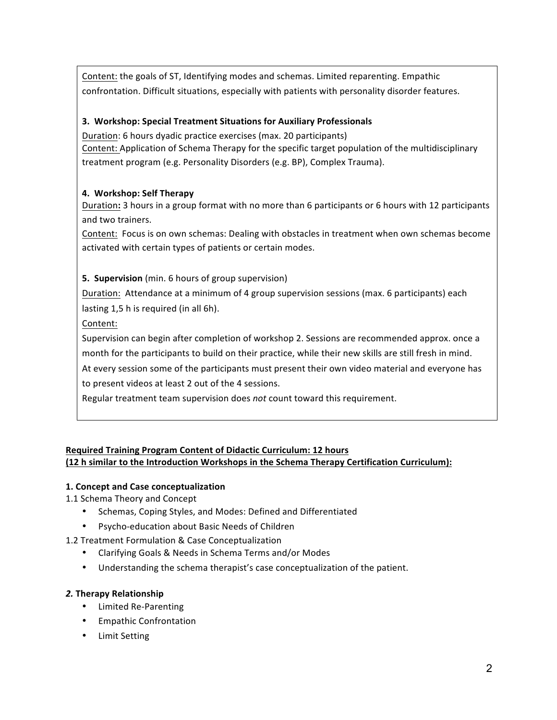Content: the goals of ST, Identifying modes and schemas. Limited reparenting. Empathic confrontation. Difficult situations, especially with patients with personality disorder features.

## **3. Workshop: Special Treatment Situations for Auxiliary Professionals**

Duration: 6 hours dyadic practice exercises (max. 20 participants) Content: Application of Schema Therapy for the specific target population of the multidisciplinary treatment program (e.g. Personality Disorders (e.g. BP), Complex Trauma).

## **4. Workshop: Self Therapy**

Duration: 3 hours in a group format with no more than 6 participants or 6 hours with 12 participants and two trainers.

Content: Focus is on own schemas: Dealing with obstacles in treatment when own schemas become activated with certain types of patients or certain modes.

## **5. Supervision** (min. 6 hours of group supervision)

Duration: Attendance at a minimum of 4 group supervision sessions (max. 6 participants) each lasting 1,5 h is required (in all 6h).

Content:

Supervision can begin after completion of workshop 2. Sessions are recommended approx. once a month for the participants to build on their practice, while their new skills are still fresh in mind. At every session some of the participants must present their own video material and everyone has

to present videos at least 2 out of the 4 sessions.

Regular treatment team supervision does *not* count toward this requirement.

## **Required Training Program Content of Didactic Curriculum: 12 hours (12 h similar to the Introduction Workshops in the Schema Therapy Certification Curriculum):**

## **1. Concept and Case conceptualization**

- 1.1 Schema Theory and Concept
	- Schemas, Coping Styles, and Modes: Defined and Differentiated
	- Psycho-education about Basic Needs of Children
- 1.2 Treatment Formulation & Case Conceptualization
	- Clarifying Goals & Needs in Schema Terms and/or Modes
	- Understanding the schema therapist's case conceptualization of the patient.

## *2.* **Therapy Relationship**

- Limited Re-Parenting
- Empathic Confrontation
- Limit Setting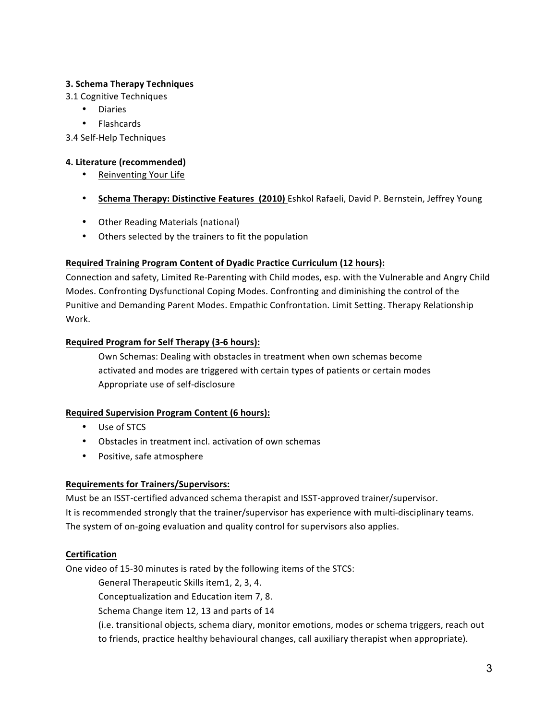## **3. Schema Therapy Techniques**

3.1 Cognitive Techniques

- Diaries
- Flashcards

3.4 Self-Help Techniques

#### **4. Literature (recommended)**

- Reinventing Your Life
- **Schema Therapy: Distinctive Features (2010)** Eshkol Rafaeli, David P. Bernstein, Jeffrey Young
- Other Reading Materials (national)
- Others selected by the trainers to fit the population

#### **Required Training Program Content of Dyadic Practice Curriculum (12 hours):**

Connection and safety, Limited Re-Parenting with Child modes, esp. with the Vulnerable and Angry Child Modes. Confronting Dysfunctional Coping Modes. Confronting and diminishing the control of the Punitive and Demanding Parent Modes. Empathic Confrontation. Limit Setting. Therapy Relationship Work.

#### **Required Program for Self Therapy (3-6 hours):**

Own Schemas: Dealing with obstacles in treatment when own schemas become activated and modes are triggered with certain types of patients or certain modes Appropriate use of self-disclosure

#### **Required Supervision Program Content (6 hours):**

- Use of STCS
- Obstacles in treatment incl. activation of own schemas
- Positive, safe atmosphere

#### **Requirements for Trainers/Supervisors:**

Must be an ISST-certified advanced schema therapist and ISST-approved trainer/supervisor. It is recommended strongly that the trainer/supervisor has experience with multi-disciplinary teams. The system of on-going evaluation and quality control for supervisors also applies.

## **Certification**

One video of 15-30 minutes is rated by the following items of the STCS:

General Therapeutic Skills item1, 2, 3, 4.

Conceptualization and Education item 7, 8.

Schema Change item 12, 13 and parts of 14

(i.e. transitional objects, schema diary, monitor emotions, modes or schema triggers, reach out to friends, practice healthy behavioural changes, call auxiliary therapist when appropriate).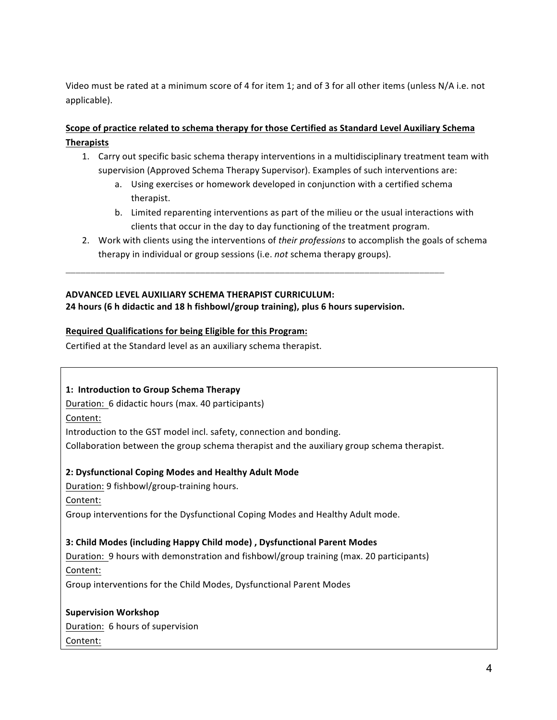Video must be rated at a minimum score of 4 for item 1; and of 3 for all other items (unless N/A i.e. not applicable).

## **Scope of practice related to schema therapy for those Certified as Standard Level Auxiliary Schema Therapists**

- 1. Carry out specific basic schema therapy interventions in a multidisciplinary treatment team with supervision (Approved Schema Therapy Supervisor). Examples of such interventions are:
	- a. Using exercises or homework developed in conjunction with a certified schema therapist.
	- b. Limited reparenting interventions as part of the milieu or the usual interactions with clients that occur in the day to day functioning of the treatment program.
- 2. Work with clients using the interventions of *their professions* to accomplish the goals of schema therapy in individual or group sessions (i.e. *not* schema therapy groups).

## **ADVANCED LEVEL AUXILIARY SCHEMA THERAPIST CURRICULUM:**

**24** hours (6 h didactic and 18 h fishbowl/group training), plus 6 hours supervision.

**\_\_\_\_\_\_\_\_\_\_\_\_\_\_\_\_\_\_\_\_\_\_\_\_\_\_\_\_\_\_\_\_\_\_\_\_\_\_\_\_\_\_\_\_\_\_\_\_\_\_\_\_\_\_\_\_\_\_\_\_\_\_\_\_\_\_\_\_\_\_\_\_\_\_\_\_**

#### **Required Qualifications for being Eligible for this Program:**

Certified at the Standard level as an auxiliary schema therapist.

#### 1: Introduction to Group Schema Therapy

Duration: 6 didactic hours (max. 40 participants)

Content:

Introduction to the GST model incl. safety, connection and bonding.

Collaboration between the group schema therapist and the auxiliary group schema therapist.

## **2: Dysfunctional Coping Modes and Healthy Adult Mode**

Duration: 9 fishbowl/group-training hours.

Content:

Group interventions for the Dysfunctional Coping Modes and Healthy Adult mode.

## **3: Child Modes (including Happy Child mode) , Dysfunctional Parent Modes**

Duration: 9 hours with demonstration and fishbowl/group training (max. 20 participants) Content: 

Group interventions for the Child Modes, Dysfunctional Parent Modes

**Supervision Workshop** Duration: 6 hours of supervision Content: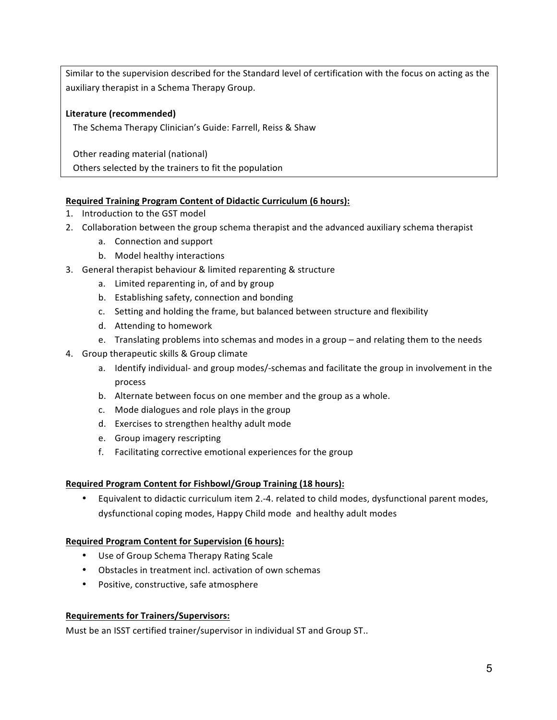Similar to the supervision described for the Standard level of certification with the focus on acting as the auxiliary therapist in a Schema Therapy Group.

## Literature (recommended)

The Schema Therapy Clinician's Guide: Farrell, Reiss & Shaw

Other reading material (national)

Others selected by the trainers to fit the population

## **Required Training Program Content of Didactic Curriculum (6 hours):**

- 1. Introduction to the GST model
- 2. Collaboration between the group schema therapist and the advanced auxiliary schema therapist
	- a. Connection and support
	- b. Model healthy interactions
- 3. General therapist behaviour & limited reparenting & structure
	- a. Limited reparenting in, of and by group
	- b. Establishing safety, connection and bonding
	- c. Setting and holding the frame, but balanced between structure and flexibility
	- d. Attending to homework
	- e. Translating problems into schemas and modes in a group and relating them to the needs
- 4. Group therapeutic skills & Group climate
	- a. Identify individual- and group modes/-schemas and facilitate the group in involvement in the process
	- b. Alternate between focus on one member and the group as a whole.
	- c. Mode dialogues and role plays in the group
	- d. Exercises to strengthen healthy adult mode
	- e. Group imagery rescripting
	- f. Facilitating corrective emotional experiences for the group

## **Required Program Content for Fishbowl/Group Training (18 hours):**

Equivalent to didactic curriculum item 2.-4. related to child modes, dysfunctional parent modes, dysfunctional coping modes, Happy Child mode and healthy adult modes

## **Required Program Content for Supervision (6 hours):**

- Use of Group Schema Therapy Rating Scale
- Obstacles in treatment incl. activation of own schemas
- Positive, constructive, safe atmosphere

## **Requirements for Trainers/Supervisors:**

Must be an ISST certified trainer/supervisor in individual ST and Group ST..